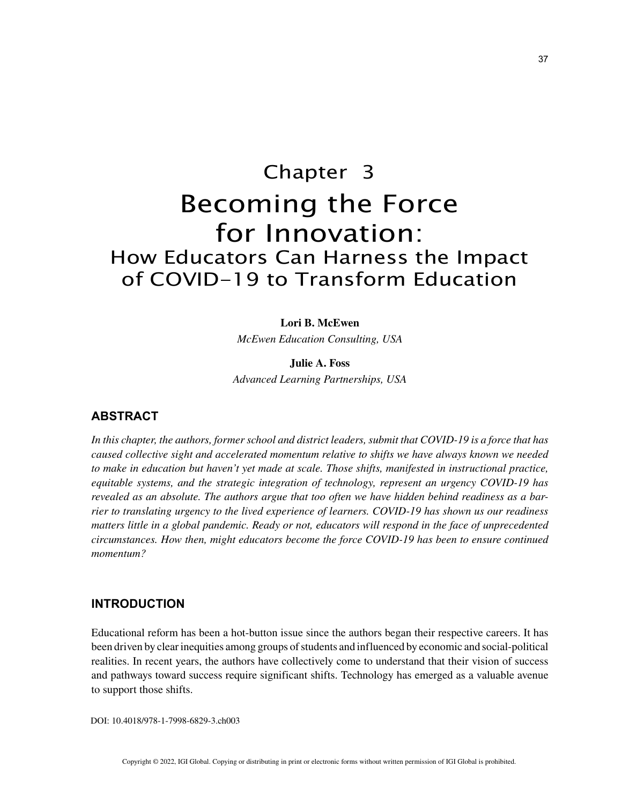# Chapter 3 Becoming the Force for Innovation: How Educators Can Harness the Impact of COVID-19 to Transform Education

#### **Lori B. McEwen**

*McEwen Education Consulting, USA*

**Julie A. Foss** *Advanced Learning Partnerships, USA*

# **ABSTRACT**

*In this chapter, the authors, former school and district leaders, submit that COVID-19 is a force that has caused collective sight and accelerated momentum relative to shifts we have always known we needed to make in education but haven't yet made at scale. Those shifts, manifested in instructional practice, equitable systems, and the strategic integration of technology, represent an urgency COVID-19 has revealed as an absolute. The authors argue that too often we have hidden behind readiness as a barrier to translating urgency to the lived experience of learners. COVID-19 has shown us our readiness matters little in a global pandemic. Ready or not, educators will respond in the face of unprecedented circumstances. How then, might educators become the force COVID-19 has been to ensure continued momentum?*

# **INTRODUCTION**

Educational reform has been a hot-button issue since the authors began their respective careers. It has been driven by clear inequities among groups of students and influenced by economic and social-political realities. In recent years, the authors have collectively come to understand that their vision of success and pathways toward success require significant shifts. Technology has emerged as a valuable avenue to support those shifts.

DOI: 10.4018/978-1-7998-6829-3.ch003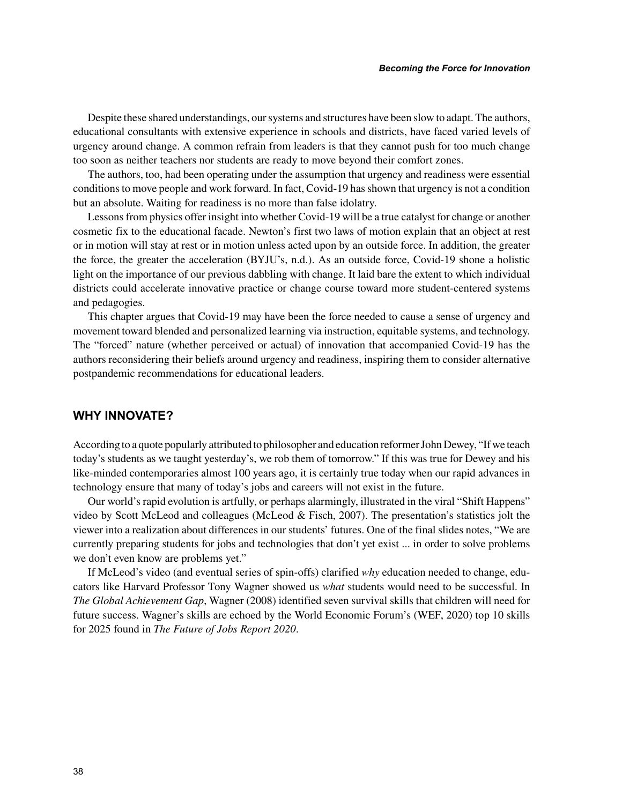Despite these shared understandings, our systems and structures have been slow to adapt. The authors, educational consultants with extensive experience in schools and districts, have faced varied levels of urgency around change. A common refrain from leaders is that they cannot push for too much change too soon as neither teachers nor students are ready to move beyond their comfort zones.

The authors, too, had been operating under the assumption that urgency and readiness were essential conditions to move people and work forward. In fact, Covid-19 has shown that urgency is not a condition but an absolute. Waiting for readiness is no more than false idolatry.

Lessons from physics offer insight into whether Covid-19 will be a true catalyst for change or another cosmetic fix to the educational facade. Newton's first two laws of motion explain that an object at rest or in motion will stay at rest or in motion unless acted upon by an outside force. In addition, the greater the force, the greater the acceleration (BYJU's, n.d.). As an outside force, Covid-19 shone a holistic light on the importance of our previous dabbling with change. It laid bare the extent to which individual districts could accelerate innovative practice or change course toward more student-centered systems and pedagogies.

This chapter argues that Covid-19 may have been the force needed to cause a sense of urgency and movement toward blended and personalized learning via instruction, equitable systems, and technology. The "forced" nature (whether perceived or actual) of innovation that accompanied Covid-19 has the authors reconsidering their beliefs around urgency and readiness, inspiring them to consider alternative postpandemic recommendations for educational leaders.

## **WHY INNOVATE?**

According to a quote popularly attributed to philosopher and education reformer John Dewey, "If we teach today's students as we taught yesterday's, we rob them of tomorrow." If this was true for Dewey and his like-minded contemporaries almost 100 years ago, it is certainly true today when our rapid advances in technology ensure that many of today's jobs and careers will not exist in the future.

Our world's rapid evolution is artfully, or perhaps alarmingly, illustrated in the viral "Shift Happens" video by Scott McLeod and colleagues (McLeod & Fisch, 2007). The presentation's statistics jolt the viewer into a realization about differences in our students' futures. One of the final slides notes, "We are currently preparing students for jobs and technologies that don't yet exist ... in order to solve problems we don't even know are problems yet."

If McLeod's video (and eventual series of spin-offs) clarified *why* education needed to change, educators like Harvard Professor Tony Wagner showed us *what* students would need to be successful. In *The Global Achievement Gap*, Wagner (2008) identified seven survival skills that children will need for future success. Wagner's skills are echoed by the World Economic Forum's (WEF, 2020) top 10 skills for 2025 found in *The Future of Jobs Report 2020*.